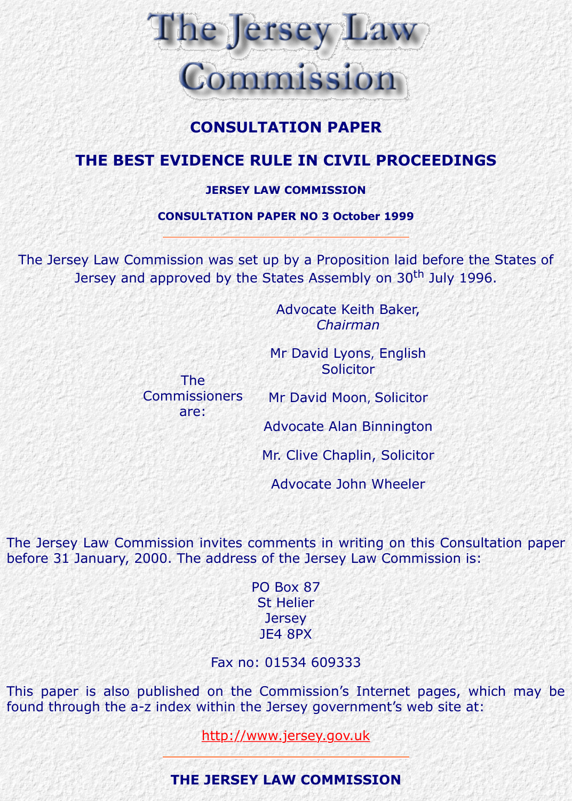# **THE BEST EVIDENCE RULE IN CIVIL PROCEEDINGS**

#### **JERSEY LAW COMMISSION**

### **CONSULTATION PAPER NO 3 October 1999**

The Jersey Law Commission was set up by a Proposition laid before the States of Jersey and approved by the States Assembly on 30<sup>th</sup> July 1996.

> The Commissioners

> > are:

Advocate Keith Baker, *Chairman*

Mr David Lyons, English Solicitor

Mr David Moon, Solicitor

Advocate Alan Binnington

Mr. Clive Chaplin, Solicitor

Advocate John Wheeler

The Jersey Law Commission invites comments in writing on this Consultation before 31 January, 2000. The address of the Jersey Law Commission is:

> PO Box 87 St Helier **Jersey** JE4 8PX

Fax no: 01534 609333

This paper is also published on the Commission's Internet pages, which found through the a-z index within the Jersey government's web site at:

http://www.jersey.gov.uk

**THE JERSEY LAW COMMISSION**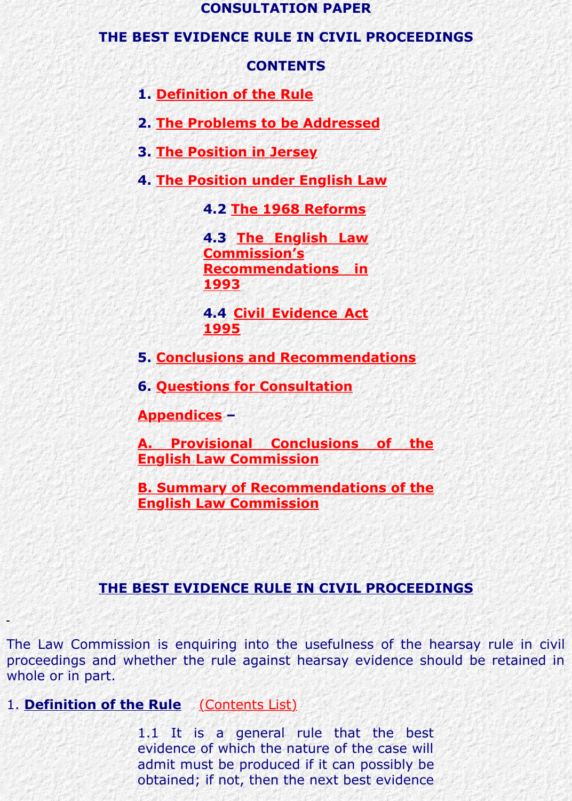- **3. The Position in Jersey**
- **4. The Position under English Law**

**4.2 The 1968 Reforms**

**[4.3 The Englis](http://www.lawcomm.gov.je/best_evidence_rule_consultation_paper.htm#Definition%20of%20the%20Rule)h Law Commission's [Recommendations in](http://www.lawcomm.gov.je/best_evidence_rule_consultation_paper.htm#The%20Problems%20to%20be%20Addressed) 1993**

**[4.4 Civil Eviden](http://www.lawcomm.gov.je/best_evidence_rule_consultation_paper.htm#The%20Position%20in%20Jersey)ce Act [1995](http://www.lawcomm.gov.je/best_evidence_rule_consultation_paper.htm#The%20Position%20Under%20English%20Law)**

**5. Conclusio[ns and Recommend](http://www.lawcomm.gov.je/best_evidence_rule_consultation_paper.htm#The%201968%20Reforms)ations**

**6. Quest[ions for Consultation](http://www.lawcomm.gov.je/best_evidence_rule_consultation_paper.htm#The%20English%20Law%20Commission=s%20Recommendations%20in%201993)**

**Appendices –**

**A. Provisional Conclusions of the English [Law Commission](http://www.lawcomm.gov.je/best_evidence_rule_consultation_paper.htm#Civil%20Evidence%20Act%201995)**

**B. Summary of Recommendations of the E[nglish Law Commission](http://www.lawcomm.gov.je/best_evidence_rule_consultation_paper.htm#Conclusions%20and%20Recommendations)**

## **THE [BEST EVIDENCE RULE IN CIVIL PROCEED](http://www.lawcomm.gov.je/appendix_a_bestevidence_rule_paper.htm)INGS**

The Law Commissi[on is enquiring into the usefulness of the h](http://www.lawcomm.gov.je/appendix_b_bestevidence_rule_paper.htm)earsay rule proceedings and whether the rule against hearsay evidence should be retained in whole or in part.

1. **Definition of the Rule** (Contents List)

1.1 It is a general rule that the best evidence of which the nature of the case will admit must be produced if it can possibly be obtained; if not, then the next best evidence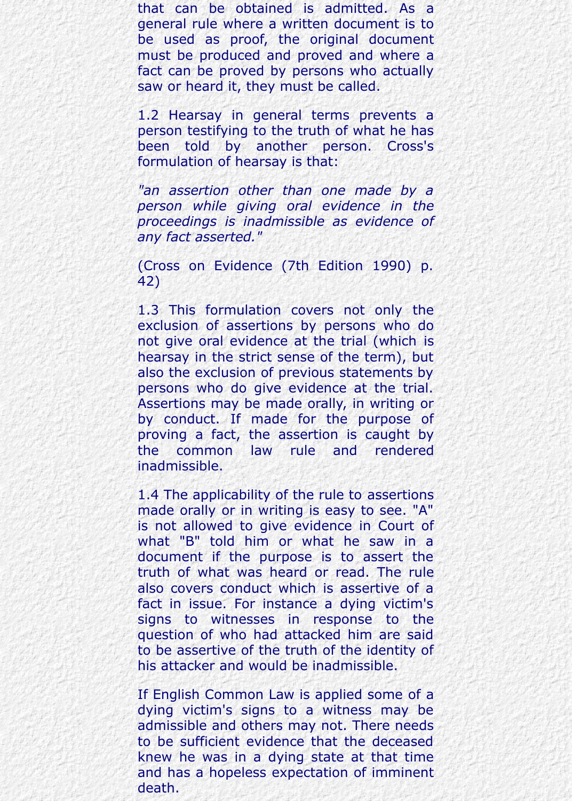that can be obtained is admitted. As a general rule where a written document is to be used as proof, the original document must be produced and proved and where a fact can be proved by persons who actually saw or heard it, they must be called.

1.2 Hearsay in general terms prevents a person testifying to the truth of what he has been told by another person. Cross's formulation of hearsay is that:

*"an assertion other than one made by a person while giving oral evidence in the proceedings is inadmissible as evidence of any fact asserted."*

(Cross on Evidence (7th Edition 1990) p. 42)

1.3 This formulation covers not only the exclusion of assertions by persons who do not give oral evidence at the trial (which is hearsay in the strict sense of the term), but also the exclusion of previous statements by persons who do give evidence at the trial. Assertions may be made orally, in writing or by conduct. If made for the purpose of proving a fact, the assertion is caught by the common law rule and rendered inadmissible.

1.4 The applicability of the rule to assertions made orally or in writing is easy to see. "A" is not allowed to give evidence in Court of what "B" told him or what he saw in a document if the purpose is to assert the truth of what was heard or read. The rule also covers conduct which is assertive of a fact in issue. For instance a dying victim's signs to witnesses in response to the question of who had attacked him are said to be assertive of the truth of the identity of his attacker and would be inadmissible.

If English Common Law is applied some of a dying victim's signs to a witness may be admissible and others may not. There needs to be sufficient evidence that the deceased knew he was in a dying state at that time and has a hopeless expectation of imminent death.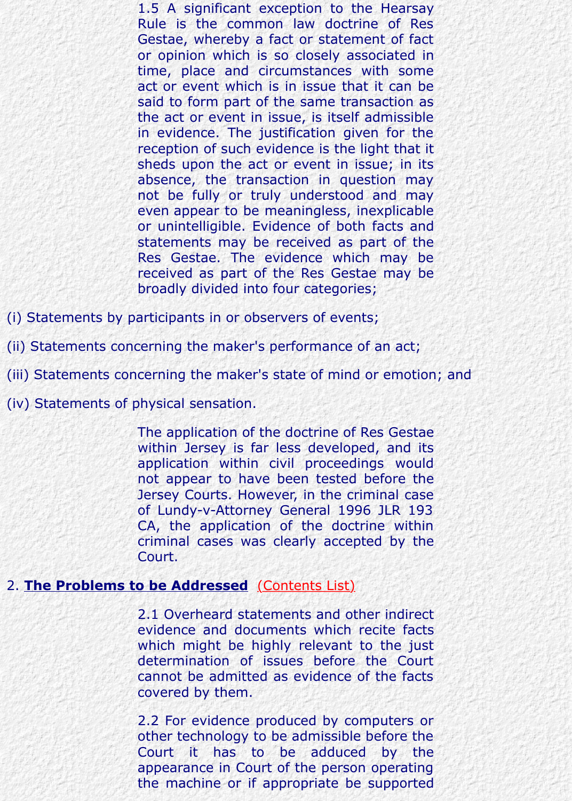reception of such evidence is the light that it sheds upon the act or event in issue; in its absence, the transaction in question may not be fully or truly understood and may even appear to be meaningless, inexplicable or unintelligible. Evidence of both facts and statements may be received as part of the Res Gestae. The evidence which may be received as part of the Res Gestae may be broadly divided into four categories;

(i) Statements by participants in or observers of events;

(ii) Statements concerning the maker's performance of an act;

(iii) Statements concerning the maker's state of mind or emotion; and

(iv) Statements of physical sensation.

The application of the doctrine of Res Gestae within Jersey is far less developed, and its application within civil proceedings would not appear to have been tested before the Jersey Courts. However, in the criminal case of Lundy-v-Attorney General 1996 JLR 193 CA, the application of the doctrine within criminal cases was clearly accepted by the Court.

#### 2. **The Problems to be Addressed** (Contents List)

2.1 Overheard statements and other indirect evidence and documents which recite facts which might be highly relevant to the just determination of issues before the Court cannot be admitted as evidence of the facts covered by them.

2.2 For evidence produced by computers or other technology [to be admissible](http://www.lawcomm.gov.je/best_evidence_rule_consultation_paper.htm#CONTENTS) before the Court it has to be adduced by the appearance in Court of the person operating the machine or if appropriate be supported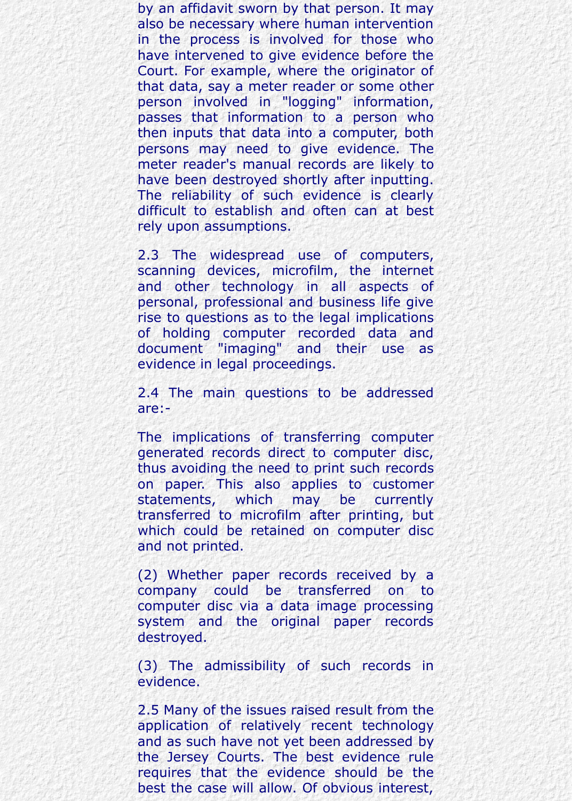by an affidavit sworn by that person. It may also be necessary where human intervention in the process is involved for those who have intervened to give evidence before the Court. For example, where the originator of that data, say a meter reader or some other person involved in "logging" information, passes that information to a person who then inputs that data into a computer, both persons may need to give evidence. The meter reader's manual records are likely to have been destroyed shortly after inputting. The reliability of such evidence is clearly difficult to establish and often can at best rely upon assumptions.

2.3 The widespread use of computers, scanning devices, microfilm, the internet and other technology in all aspects of personal, professional and business life give rise to questions as to the legal implications of holding computer recorded data and document "imaging" and their use as evidence in legal proceedings.

2.4 The main questions to be addressed are:-

The implications of transferring computer generated records direct to computer disc, thus avoiding the need to print such records on paper. This also applies to customer statements, which may be currently transferred to microfilm after printing, but which could be retained on computer disc and not printed.

(2) Whether paper records received by a company could be transferred on to computer disc via a data image processing system and the original paper records destroyed.

(3) The admissibility of such records in evidence.

2.5 Many of the issues raised result from the application of relatively recent technology and as such have not yet been addressed by the Jersey Courts. The best evidence rule requires that the evidence should be the best the case will allow. Of obvious interest,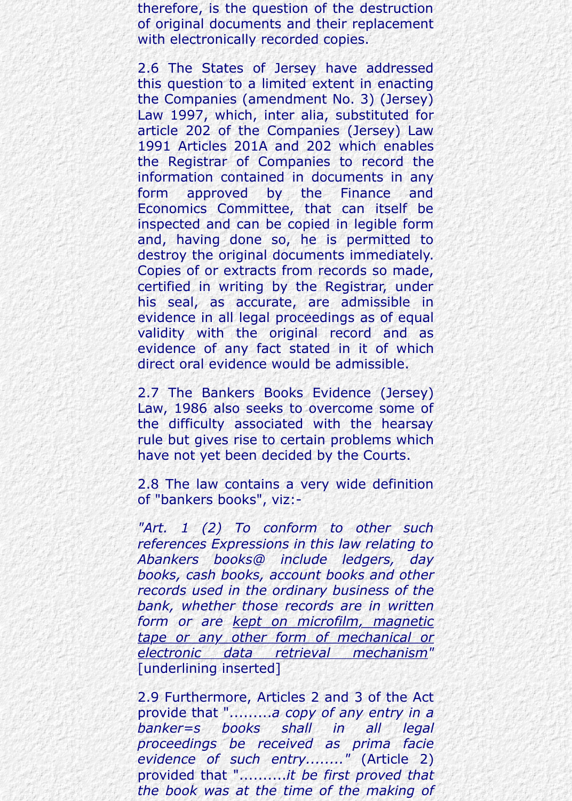therefore, is the question of the destruction of original documents and their replacement with electronically recorded copies.

2.6 The States of Jersey have addressed this question to a limited extent in enacting the Companies (amendment No. 3) (Jersey) Law 1997, which, inter alia, substituted for article 202 of the Companies (Jersey) Law 1991 Articles 201A and 202 which enables the Registrar of Companies to record the information contained in documents in any form approved by the Finance and Economics Committee, that can itself be inspected and can be copied in legible form and, having done so, he is permitted to destroy the original documents immediately. Copies of or extracts from records so made, certified in writing by the Registrar, under his seal, as accurate, are admissible in evidence in all legal proceedings as of equal validity with the original record and as evidence of any fact stated in it of which direct oral evidence would be admissible.

2.7 The Bankers Books Evidence (Jersey) Law, 1986 also seeks to overcome some of the difficulty associated with the hearsay rule but gives rise to certain problems which have not yet been decided by the Courts.

2.8 The law contains a very wide definition of "bankers books", viz:-

*"Art. 1 (2) To conform to other such references Expressions in this law relating to Abankers books@ include ledgers, day books, cash books, account books and other records used in the ordinary business of the bank, whether those records are in written form or are kept on microfilm, magnetic tape or any other form of mechanical or electronic data retrieval mechanism"* [underlining inserted]

2.9 Furthermore, Articles 2 and 3 of the Act provide that ".........*a copy of any entry in a banker=s books shall in all legal proceedings be received as prima facie evidence of such entry........"* (Article 2) provided that "..........*it be first proved that the book was at the time of the making of*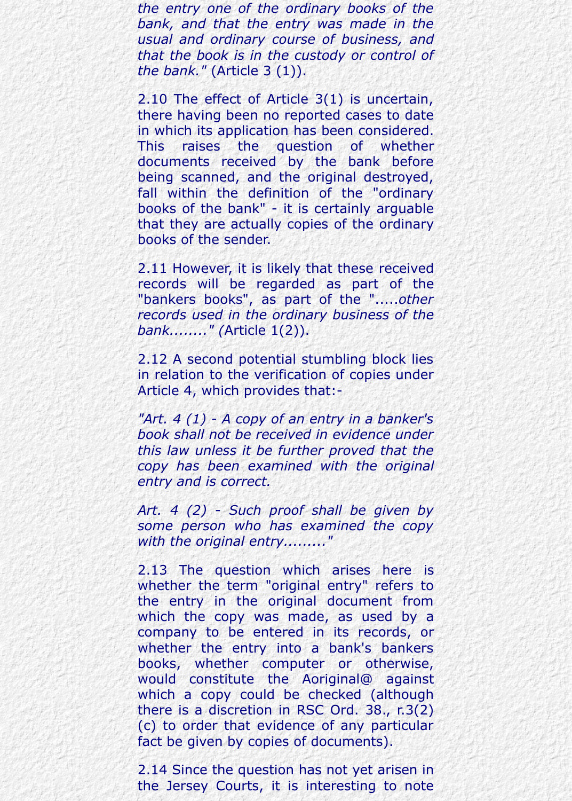*the entry one of the ordinary books of the bank, and that the entry was made in the usual and ordinary course of business, and that the book is in the custody or control of the bank."* (Article 3 (1)).

2.10 The effect of Article 3(1) is uncertain, there having been no reported cases to date in which its application has been considered. This raises the question of whether documents received by the bank before being scanned, and the original destroyed, fall within the definition of the "ordinary books of the bank" - it is certainly arguable that they are actually copies of the ordinary books of the sender.

2.11 However, it is likely that these received records will be regarded as part of the "bankers books", as part of the ".....*other records used in the ordinary business of the bank........" (*Article 1(2)).

2.12 A second potential stumbling block lies in relation to the verification of copies under Article 4, which provides that:-

*"Art. 4 (1) - A copy of an entry in a banker's book shall not be received in evidence under this law unless it be further proved that the copy has been examined with the original entry and is correct.*

*Art. 4 (2) - Such proof shall be given by some person who has examined the copy with the original entry........."*

2.13 The question which arises here is whether the term "original entry" refers to the entry in the original document from which the copy was made, as used by a company to be entered in its records, or whether the entry into a bank's bankers books, whether computer or otherwise, would constitute the Aoriginal@ against which a copy could be checked (although there is a discretion in RSC Ord. 38., r.3(2) (c) to order that evidence of any particular fact be given by copies of documents).

2.14 Since the question has not yet arisen in the Jersey Courts, it is interesting to note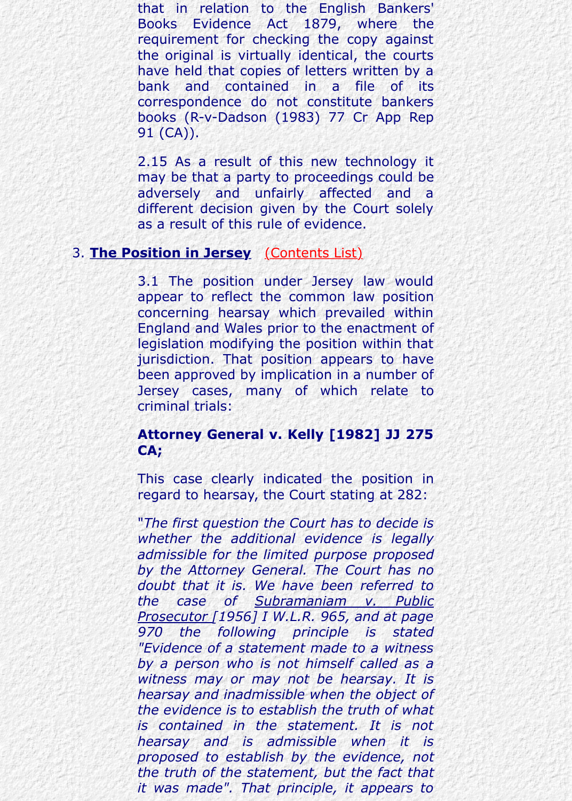2.15 As a result of this new technology it may be that a party to proceedings could be adversely and unfairly affected and a different decision given by the Court solely as a result of this rule of evidence.

### 3. **The Position in Jersey** (Contents List)

3.1 The position under Jersey law would appear to reflect the common law position concerning hearsay which prevailed within England and Wales prior to the enactment of legislation modifying the position within that jurisdiction. That position appears to have been approved by implication in a number of Jersey cases, m[any of which](http://www.lawcomm.gov.je/best_evidence_rule_consultation_paper.htm#CONTENTS) relate to criminal trials:

## **Attorney General v. Kelly [1982] JJ 275 CA;**

This case clearly indicated the position in regard to hearsay, the Court stating at 282:

"*The first question the Court has to decide is whether the additional evidence is legally admissible for the limited purpose proposed by the Attorney General. The Court has no doubt that it is. We have been referred to the case of Subramaniam v. Public Prosecutor [1956] I W.L.R. 965, and at page 970 the following principle is stated "Evidence of a statement made to a witness by a person who is not himself called as a witness may or may not be hearsay. It is hearsay and inadmissible when the object of the evidence is to establish the truth of what is contained in the statement. It is not hearsay and is admissible when it is proposed to establish by the evidence, not the truth of the statement, but the fact that it was made". That principle, it appears to*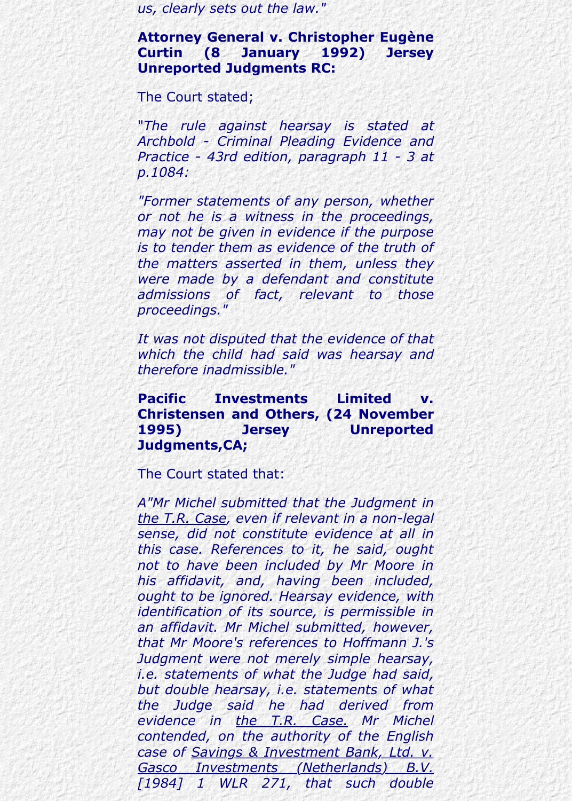*us, clearly sets out the law."*

**Attorney General v. Christopher Eugène Curtin (8 January 1992) Jersey Unreported Judgments RC:**

The Court stated;

"*The rule against hearsay is stated at Archbold - Criminal Pleading Evidence and Practice - 43rd edition, paragraph 11 - 3 at p.1084:*

*"Former statements of any person, whether or not he is a witness in the proceedings, may not be given in evidence if the purpose is to tender them as evidence of the truth of the matters asserted in them, unless they were made by a defendant and constitute admissions of fact, relevant to those proceedings."*

*It was not disputed that the evidence of that which the child had said was hearsay and therefore inadmissible."*

### **Pacific Investments Limited v. Christensen and Others, (24 November 1995) Jersey Unreported Judgments,CA;**

The Court stated that:

*A"Mr Michel submitted that the Judgment in the T.R. Case, even if relevant in a non-legal sense, did not constitute evidence at all in this case. References to it, he said, ought not to have been included by Mr Moore in his affidavit, and, having been included, ought to be ignored. Hearsay evidence, with identification of its source, is permissible in an affidavit. Mr Michel submitted, however, that Mr Moore's references to Hoffmann J.'s Judgment were not merely simple hearsay, i.e. statements of what the Judge had said, but double hearsay, i.e. statements of what the Judge said he had derived from evidence in the T.R. Case. Mr Michel contended, on the authority of the English case of Savings & Investment Bank, Ltd. v. Gasco Investments (Netherlands) B.V. [1984] 1 WLR 271, that such double*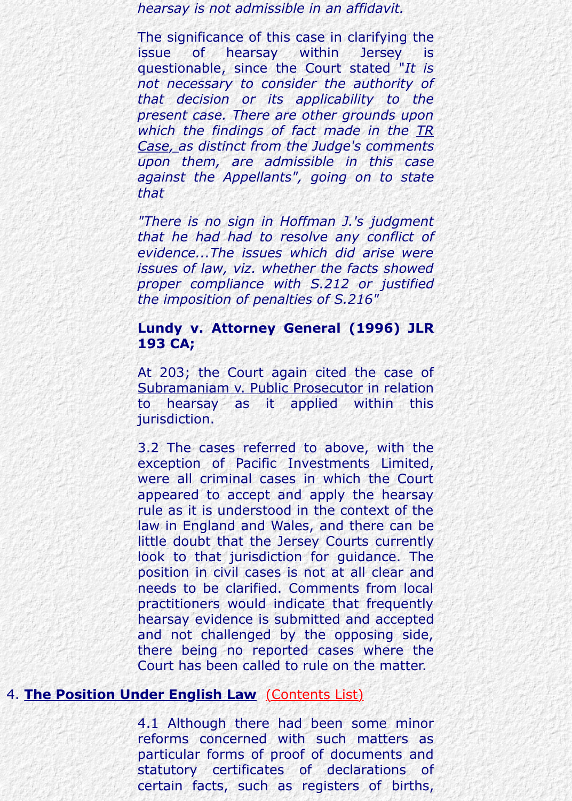*Case, as distinct from the Judge's comments upon them, are admissible in this case against the Appellants", going on to state that*

*"There is no sign in Hoffman J.'s judgment that he had had to resolve any conflict of evidence...The issues which did arise were issues of law, viz. whether the facts showed proper compliance with S.212 or justified the imposition of penalties of S.216"*

#### **Lundy v. Attorney General (1996) JLR 193 CA;**

At 203; the Court again cited the case of Subramaniam v. Public Prosecutor in relation to hearsay as it applied within this jurisdiction.

3.2 The cases referred to above, with the exception of Pacific Investments Limited, were all criminal cases in which the Court appeared to accept and apply the hearsay rule as it is understood in the context of the law in England and Wales, and there can be little doubt that the Jersey Courts currently look to that jurisdiction for guidance. The position in civil cases is not at all clear and needs to be clarified. Comments from local practitioners would indicate that frequently hearsay evidence is submitted and accepted and not challenged by the opposing side, there being no reported cases where the Court has been called to rule on the matter.

## 4. **The Position Under English Law** (Contents List)

4.1 Although there had been some minor reforms concerned with such matters as particular forms of proof of documents and statutory certificates of declarations of certain facts, such as registers of births,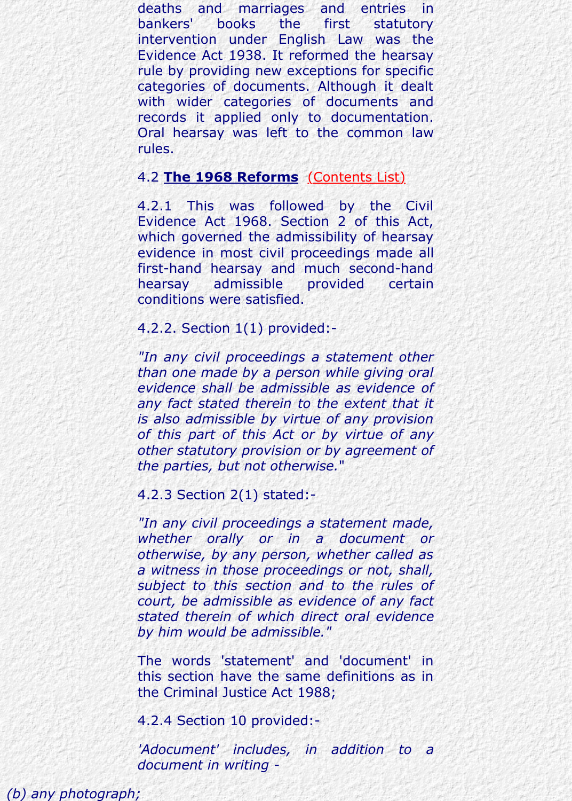rules.

#### 4.2 **The 1968 Reforms** (Contents List)

4.2.1 This was followed by the Civil Evidence Act 1968. Section 2 of this Act, which governed the admissibility of hearsay evidence in most civil proceedings made all first-hand hearsay and much second-hand hearsay admissible provided certain conditions were satisfied.

#### 4.2.2. Section 1(1) provi[ded:-](http://www.lawcomm.gov.je/best_evidence_rule_consultation_paper.htm#CONTENTS)

*"In any civil proceedings a statement other than one made by a person while giving oral evidence shall be admissible as evidence of any fact stated therein to the extent that it is also admissible by virtue of any provision of this part of this Act or by virtue of any other statutory provision or by agreement of the parties, but not otherwise.*"

4.2.3 Section 2(1) stated:-

*"In any civil proceedings a statement made, whether orally or in a document or otherwise, by any person, whether called as a witness in those proceedings or not, shall, subject to this section and to the rules of court, be admissible as evidence of any fact stated therein of which direct oral evidence by him would be admissible."*

The words 'statement' and 'document' in this section have the same definitions as in the Criminal Justice Act 1988;

4.2.4 Section 10 provided:-

*'Adocument' includes, in addition to a document in writing -*

*(b) any photograph;*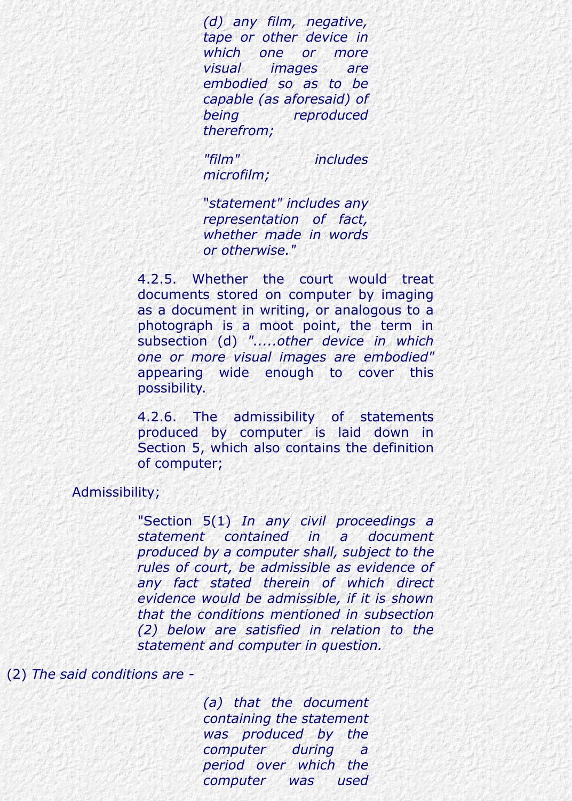*(d) any film, negative, tape or other device in which one or more visual images are embodied so as to be capable (as aforesaid) of being reproduced therefrom;*

*"film" includes microfilm;*

"*statement" includes any representation of fact, whether made in words or otherwise."*

4.2.5. Whether the court would treat documents stored on computer by imaging as a document in writing, or analogous to a photograph is a moot point, the term in subsection (d) *".....other device in which one or more visual images are embodied"* appearing wide enough to cover this possibility.

4.2.6. The admissibility of statements produced by computer is laid down in Section 5, which also contains the definition of computer;

Admissibility;

"Section 5(1) *In any civil proceedings a statement contained in a document produced by a computer shall, subject to the rules of court, be admissible as evidence of any fact stated therein of which direct evidence would be admissible, if it is shown that the conditions mentioned in subsection (2) below are satisfied in relation to the statement and computer in question.*

#### (2) *The said conditions are -*

*(a) that the document containing the statement was produced by the computer during a period over which the computer was used*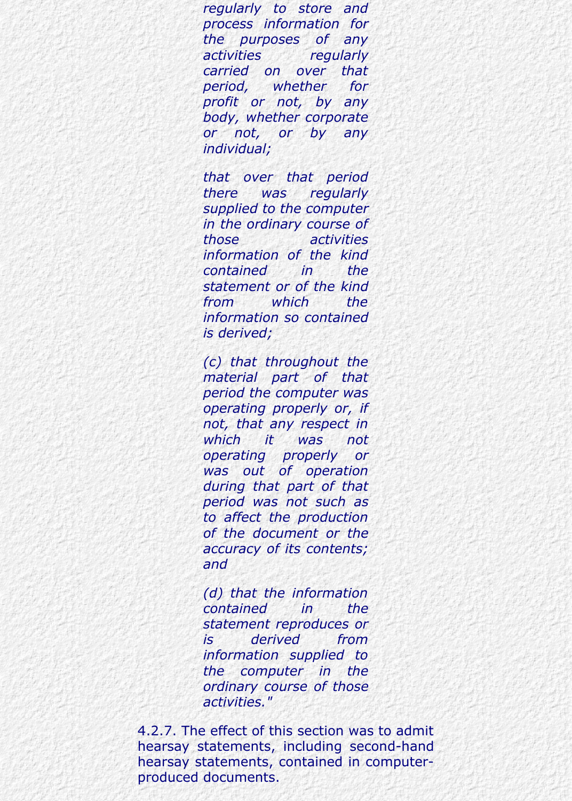*regularly to store and process information for the purposes of any activities regularly carried on over that period, whether for profit or not, by any body, whether corporate or not, or by any individual;*

*that over that period there was regularly supplied to the computer in the ordinary course of those activities information of the kind contained in the statement or of the kind from which the information so contained is derived;*

*(c) that throughout the material part of that period the computer was operating properly or, if not, that any respect in which it was not operating properly or was out of operation during that part of that period was not such as to affect the production of the document or the accuracy of its contents; and*

*(d) that the information contained in the statement reproduces or is derived from information supplied to the computer in the ordinary course of those activities."*

4.2.7. The effect of this section was to admit hearsay statements, including second-hand hearsay statements, contained in computerproduced documents.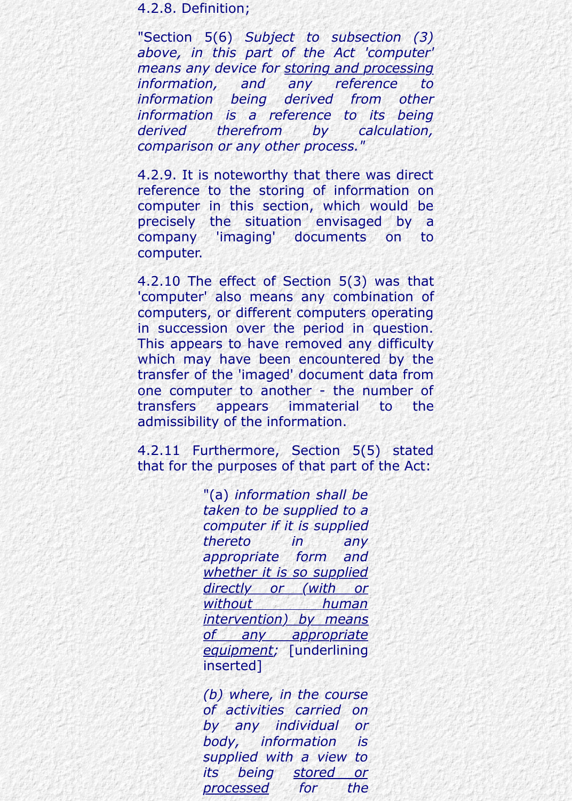4.2.8. Definition;

"Section 5(6) *Subject to subsection (3) above, in this part of the Act 'computer' means any device for storing and processing information, and any reference to information being derived from other information is a reference to its being derived therefrom by calculation, comparison or any other process."*

4.2.9. It is noteworthy that there was direct reference to the storing of information on computer in this section, which would be precisely the situation envisaged by a company 'imaging' documents on to computer.

4.2.10 The effect of Section 5(3) was that 'computer' also means any combination of computers, or different computers operating in succession over the period in question. This appears to have removed any difficulty which may have been encountered by the transfer of the 'imaged' document data from one computer to another - the number of transfers appears immaterial to the admissibility of the information.

4.2.11 Furthermore, Section 5(5) stated that for the purposes of that part of the Act:

> "(a) *information shall be taken to be supplied to a computer if it is supplied thereto in any appropriate form and whether it is so supplied directly or (with or without human intervention) by means of any appropriate equipment;* [underlining inserted]

> *(b) where, in the course of activities carried on by any individual or body, information is supplied with a view to its being stored or processed for the*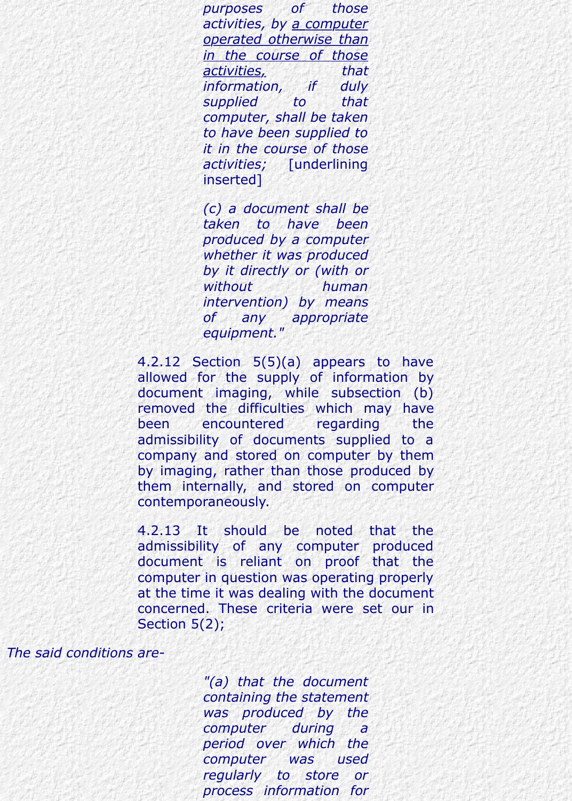*purposes of those activities, by a computer operated otherwise than in the course of those activities, that information, if duly supplied to that computer, shall be taken to have been supplied to it in the course of those activities;* [underlining inserted]

*(c) a document shall be taken to have been produced by a computer whether it was produced by it directly or (with or without human intervention) by means of any appropriate equipment."*

4.2.12 Section 5(5)(a) appears to have allowed for the supply of information by document imaging, while subsection (b) removed the difficulties which may have been encountered regarding the admissibility of documents supplied to a company and stored on computer by them by imaging, rather than those produced by them internally, and stored on computer contemporaneously.

4.2.13 It should be noted that the admissibility of any computer produced document is reliant on proof that the computer in question was operating properly at the time it was dealing with the document concerned. These criteria were set our in Section 5(2);

#### *The said conditions are-*

*"(a) that the document containing the statement was produced by the computer during a period over which the computer was used regularly to store or process information for*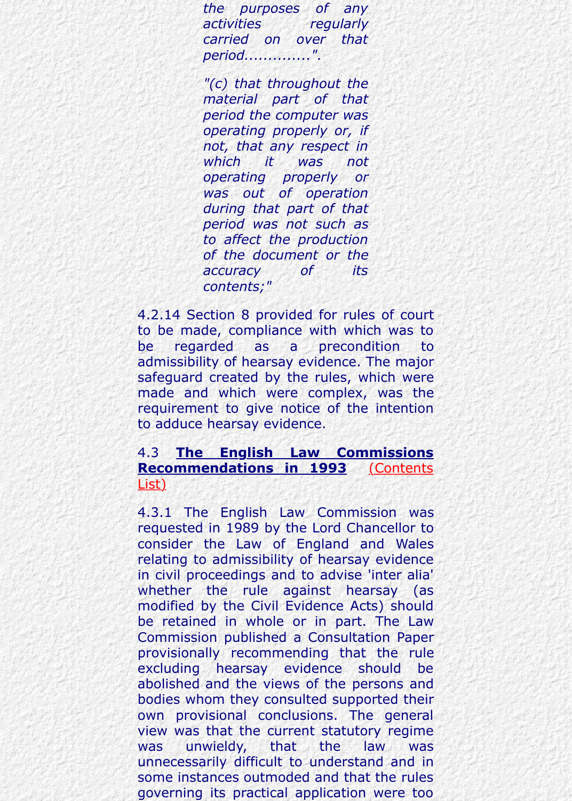*which it was not operating properly or was out of operation during that part of that period was not such as to affect the production of the document or the accuracy of its contents;"*

*not, that any respect in*

4.2.14 Section 8 provided for rules of court to be made, compliance with which was to be regarded as a precondition to admissibility of hearsay evidence. The major safeguard created by the rules, which were made and which were complex, was the requirement to give notice of the intention to adduce hearsay evidence.

### 4.3 **The English Law Commissions Recommendations in 1993** (Contents List)

4.3.1 The English Law Commission was requested in 1989 by the Lord Chancellor to consider the Law of England and Wales relating to admissibility of hearsay evidence in civil proceedings and to advise 'inter alia' whether the rule against hearsay (as modified by the Civil Evidence Acts) should [be retained in whole or in part. The Law](http://www.lawcomm.gov.je/best_evidence_rule_consultation_paper.htm#CONTENTS) Commission published a Consultation Paper provisionally recommending that the rule excluding hearsay evidence should be abolished and the views of the persons and bodies whom they consulted supported their own provisional conclusions. The general view was that the current statutory regime was unwieldy, that the law was unnecessarily difficult to understand and in some instances outmoded and that the rules governing its practical application were too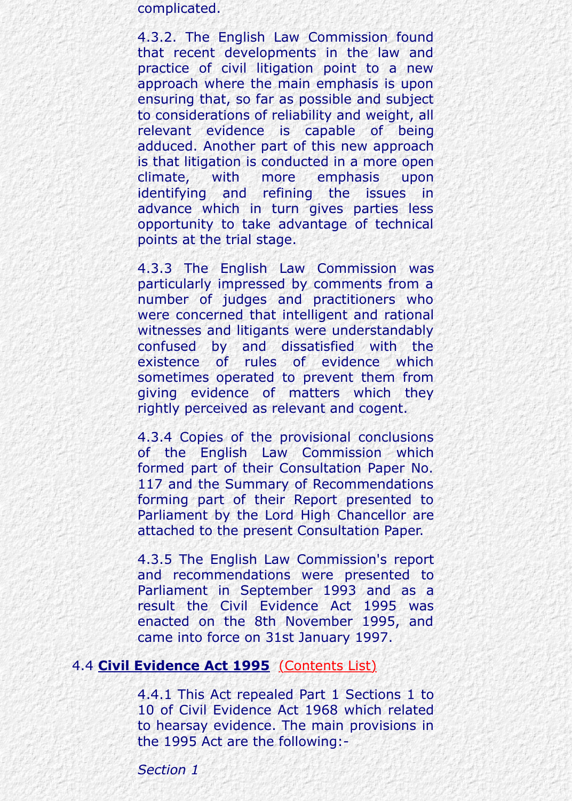is that litigation is conducted in a more open climate, with more emphasis upon identifying and refining the issues in advance which in turn gives parties less opportunity to take advantage of technical points at the trial stage.

adduced. Another part of this new approach to the control of the new approach to the control of the control of the control of the control of the control of the control of the control of the control of the control of the co

4.3.3 The English Law Commission was particularly impressed by comments from a number of judges and practitioners who were concerned that intelligent and rational witnesses and litigants were understandably confused by and dissatisfied with the existence of rules of evidence which sometimes operated to prevent them from giving evidence of matters which they rightly perceived as relevant and cogent.

4.3.4 Copies of the provisional conclusions of the English Law Commission which formed part of their Consultation Paper No. 117 and the Summary of Recommendations forming part of their Report presented to Parliament by the Lord High Chancellor are attached to the present Consultation Paper.

4.3.5 The English Law Commission's report and recommendations were presented to Parliament in September 1993 and as a result the Civil Evidence Act 1995 was enacted on the 8th November 1995, and came into force on 31st January 1997.

#### 4.4 **Civil Evidence Act 1995** (Contents List)

4.4.1 This Act repealed Part 1 Sections 1 to 10 of Civil Evidence Act 1968 which related to hearsay evidence. The main provisions in the 1995 Act are the following:-

*Section 1*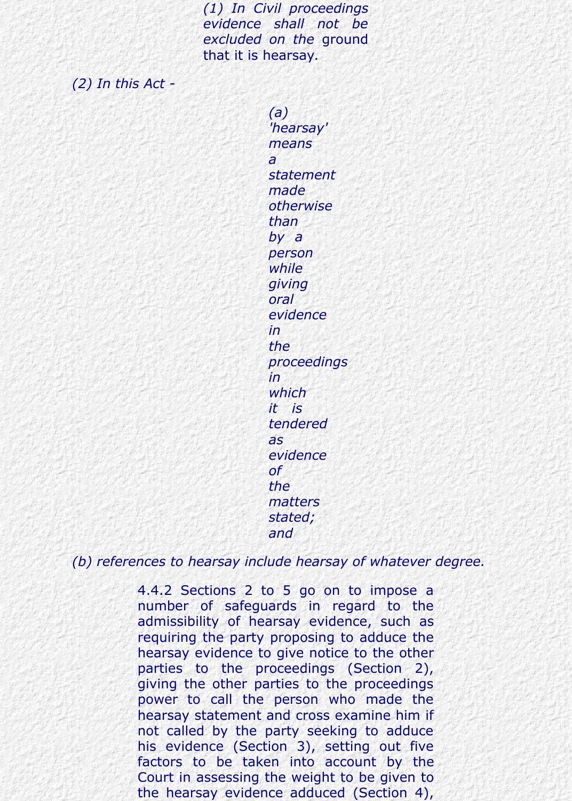*(1) In Civil proceedings evidence shall not be excluded on the* ground that it is hearsay*.*

*(2) In this Act -*

*(a) 'hearsay' means a statement made otherwise than by a person while giving oral evidence in the proceedings in which it is tendered as evidence of the matters stated; and*

*(b) references to hearsay include hearsay of whatever degree.*

4.4.2 Sections 2 to 5 go on to impose a number of safeguards in regard to the admissibility of hearsay evidence, such as requiring the party proposing to adduce the hearsay evidence to give notice to the other parties to the proceedings (Section 2), giving the other parties to the proceedings power to call the person who made the hearsay statement and cross examine him if not called by the party seeking to adduce his evidence (Section 3), setting out five factors to be taken into account by the Court in assessing the weight to be given to the hearsay evidence adduced (Section 4),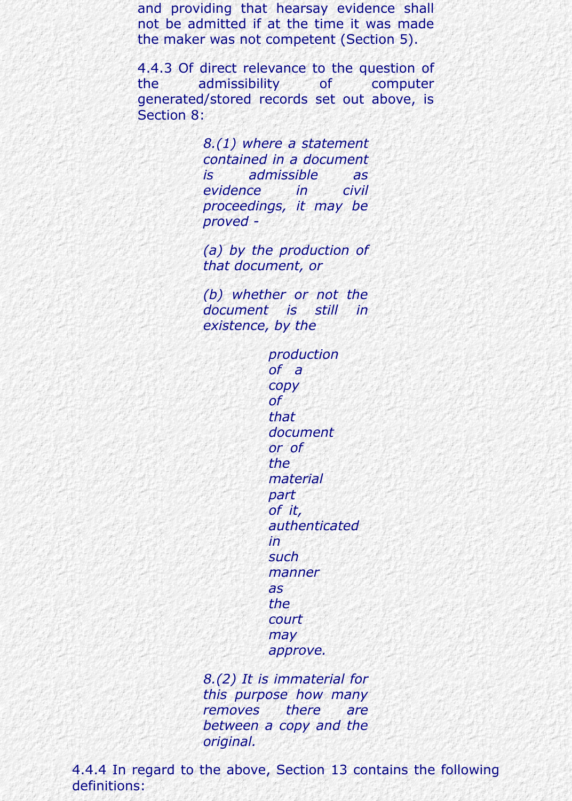and providing that hearsay evidence shall not be admitted if at the time it was made the maker was not competent (Section 5).

4.4.3 Of direct relevance to the question of the admissibility of computer generated/stored records set out above, is Section 8:

> *8.(1) where a statement contained in a document is admissible as evidence in civil proceedings, it may be proved -*

> *(a) by the production of that document, or*

> *(b) whether or not the document is still in existence, by the*

> > *production of a copy of that document or of the material part of it, authenticated in such manner as the court may approve.*

*8.(2) It is immaterial for this purpose how many removes there are between a copy and the original.*

4.4.4 In regard to the above, Section 13 contains the following definitions: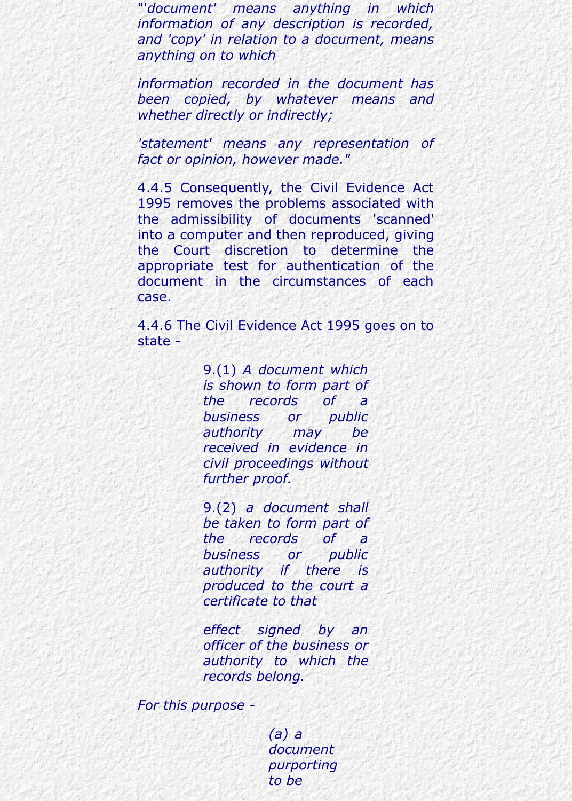"'*document' means anything in which information of any description is recorded, and 'copy' in relation to a document, means anything on to which*

*information recorded in the document has been copied, by whatever means and whether directly or indirectly;*

*'statement' means any representation of fact or opinion, however made."*

4.4.5 Consequently, the Civil Evidence Act 1995 removes the problems associated with the admissibility of documents 'scanned' into a computer and then reproduced, giving the Court discretion to determine the appropriate test for authentication of the document in the circumstances of each case.

4.4.6 The Civil Evidence Act 1995 goes on to state -

> 9.(1) *A document which is shown to form part of the records of a business or public authority may be received in evidence in civil proceedings without further proof.*

> 9.(2) *a document shall be taken to form part of the records of a business or public authority if there is produced to the court a certificate to that*

> *effect signed by an officer of the business or authority to which the records belong.*

*For this purpose -*

*(a) a document purporting to be*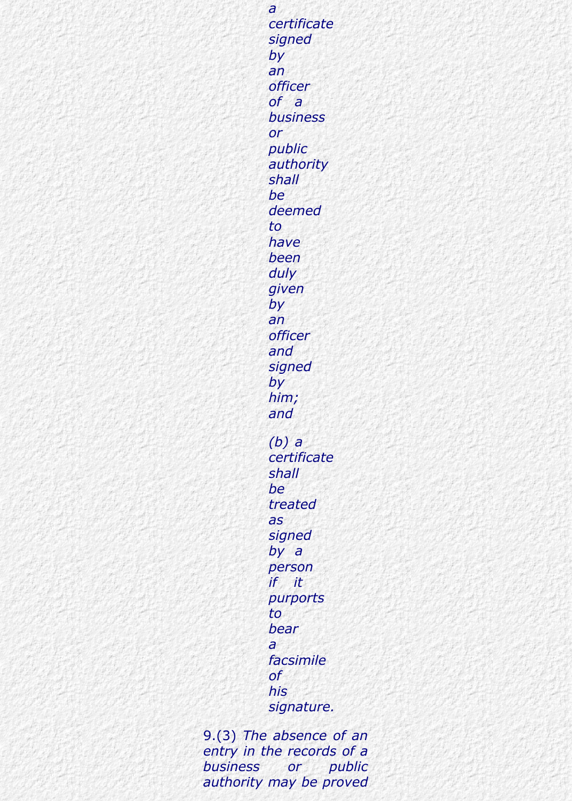*a certificate signed by an officer of a business or public authority shall be deemed to have been duly given by an officer and signed by him; and (b) a certificate shall be treated as signed by a person if it purports to bear a facsimile of his signature.*

9.(3) *The absence of an entry in the records of a business or public authority may be proved*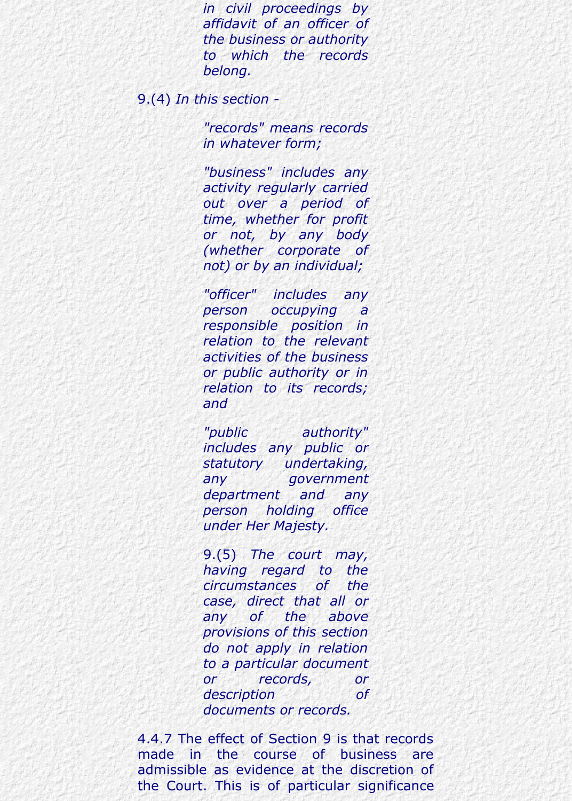*in civil proceedings by affidavit of an officer of the business or authority to which the records belong.*

9.(4) *In this section -*

*"records" means records in whatever form;*

*"business" includes any activity regularly carried out over a period of time, whether for profit or not, by any body (whether corporate of not) or by an individual;*

*"officer" includes any person occupying a responsible position in relation to the relevant activities of the business or public authority or in relation to its records; and*

*"public authority" includes any public or statutory undertaking, any government department and any person holding office under Her Majesty.*

9.(5) *The court may, having regard to the circumstances of the case, direct that all or any of the above provisions of this section do not apply in relation to a particular document or records, or description of documents or records.*

4.4.7 The effect of Section 9 is that records made in the course of business are admissible as evidence at the discretion of the Court. This is of particular significance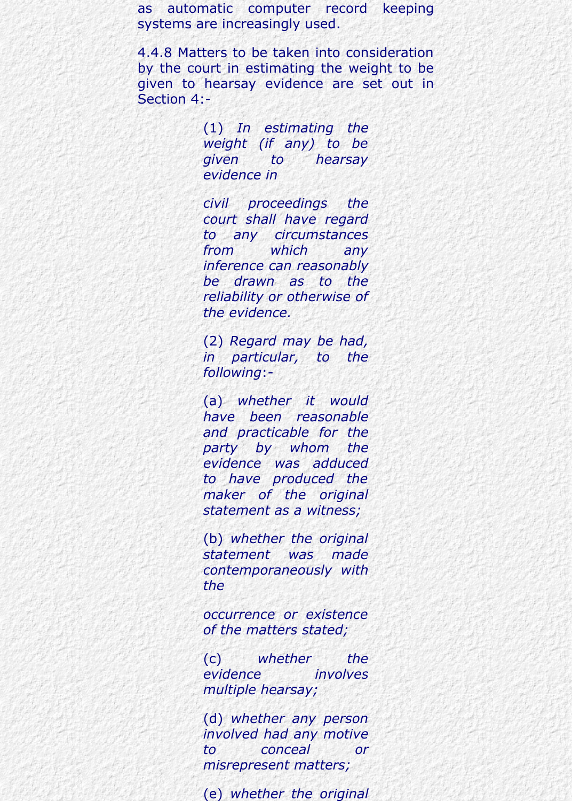as automatic computer record keeping systems are increasingly used.

4.4.8 Matters to be taken into consideration by the court in estimating the weight to be given to hearsay evidence are set out in Section 4:-

> (1) *In estimating the weight (if any) to be given to hearsay evidence in*

> *civil proceedings the court shall have regard to any circumstances from which any inference can reasonably be drawn as to the reliability or otherwise of the evidence.*

> (2) *Regard may be had, in particular, to the following*:-

> (a) *whether it would have been reasonable and practicable for the party by whom the evidence was adduced to have produced the maker of the original statement as a witness;*

> (b) *whether the original statement was made contemporaneously with the*

> *occurrence or existence of the matters stated;*

> (c) *whether the evidence involves multiple hearsay;*

(d) *whether any person involved had any motive to conceal or misrepresent matters;*

(e) *whether the original*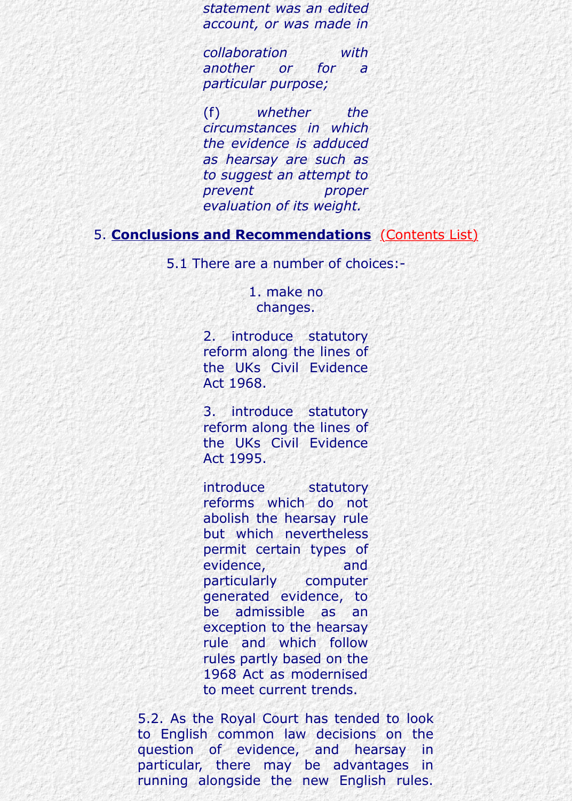*as hearsay are such as to suggest an attempt to prevent proper evaluation of its weight.*

5. **Conclusions and Recommendations** (Contents List)

5.1 There are a number of choices:-

1. make no changes.

2. introduce statutory reform along the lines of the UKs Civil Evidence Act 1968.

3. introduce statutory reform along the lines of the UKs Civil Evidence Act 1995.

introduce statutory reforms which do not abolish the hearsay rule but which nevertheless permit certain types of evidence, and particularly computer generated evidence, to be admissible as an exception to the hearsay rule and which follow rules partly based on the 1968 Act as modernised to meet current trends.

5.2. As the Royal Court has tended to look to English common law decisions on the question of evidence, and hearsay in particular, there may be advantages in running alongside the new English rules.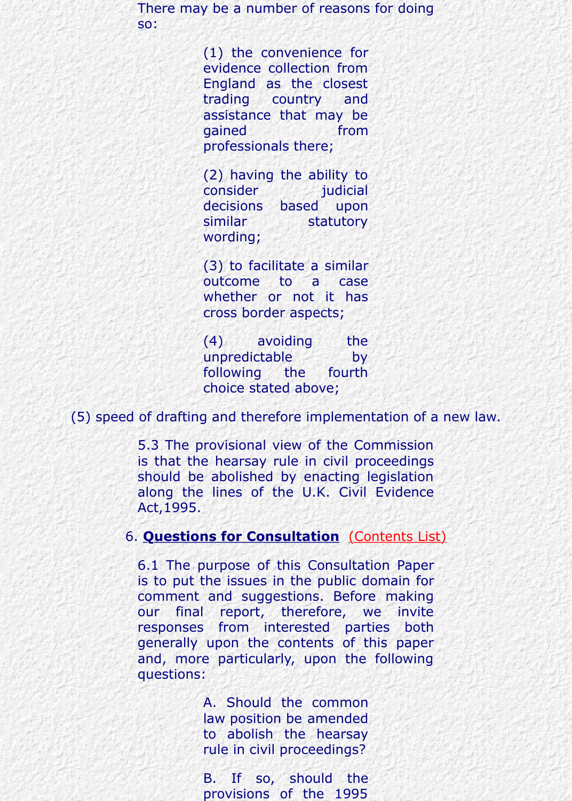(2) having the ability to consider judicial decisions based upon similar statutory wording;

professionals the control of the control and control and control and control and control and control and control and

(3) to facilitate a similar outcome to a case whether or not it has cross border aspects;

(4) avoiding the unpredictable by following the fourth choice stated above;

(5) speed of drafting and therefore implementation of a new law.

5.3 The provisional view of the Commission is that the hearsay rule in civil proceedings should be abolished by enacting legislation along the lines of the U.K. Civil Evidence Act,1995.

#### 6. **Questions for Consultation** (Contents List)

6.1 The purpose of this Consultation Paper is to put the issues in the public domain for comment and suggestions. Before making our final report, therefore, we invite responses from interested parties both generally upon the contents of this paper and, more particularly, upon the following questions:

> A. Should the common law position be amended to abolish the hearsay rule in civil proceedings?

> B. If so, should the provisions of the 1995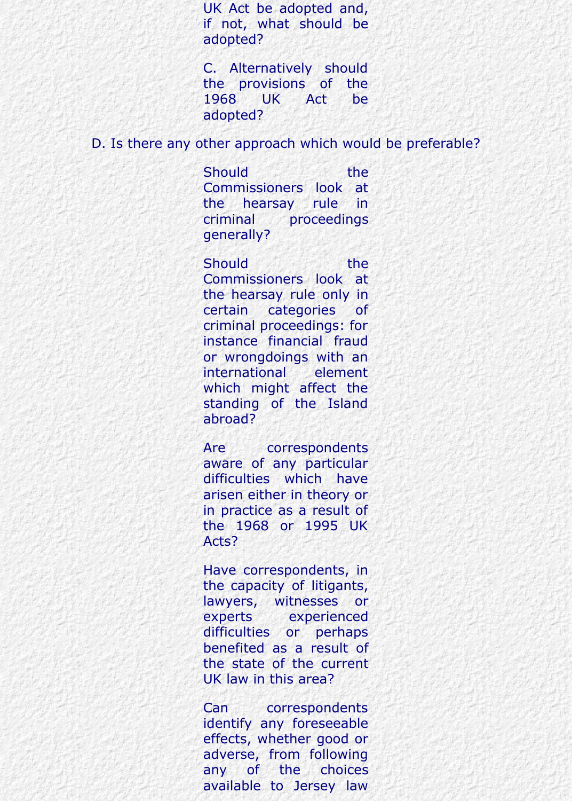UK Act be adopted and, if not, what should be adopted?

C. Alternatively should the provisions of the 1968 UK Act be adopted?

D. Is there any other approach which would be preferable?

Should the the Commissioners look at the hearsay rule in criminal proceedings generally?

Should the the Commissioners look at the hearsay rule only in certain categories of criminal proceedings: for instance financial fraud or wrongdoings with an international element which might affect the standing of the Island abroad?

Are correspondents aware of any particular difficulties which have arisen either in theory or in practice as a result of the 1968 or 1995 UK Acts?

Have correspondents, in the capacity of litigants, lawyers, witnesses or experts experienced difficulties or perhaps benefited as a result of the state of the current UK law in this area?

Can correspondents identify any foreseeable effects, whether good or adverse, from following any of the choices available to Jersey law